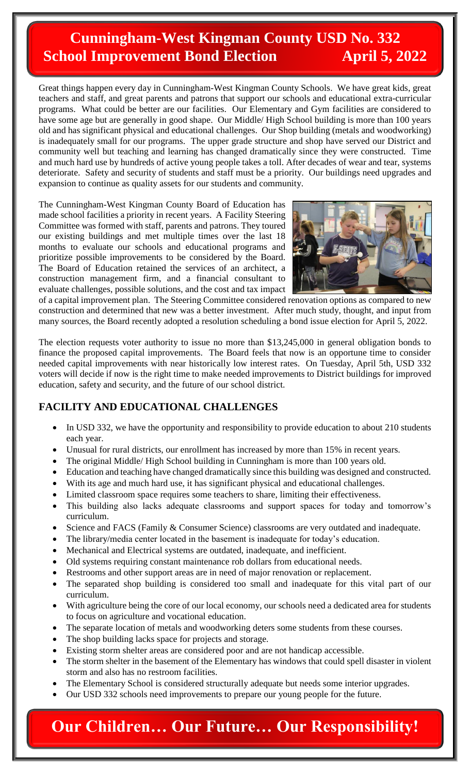# **Cunningham-West Kingman County USD No. 332 School Improvement Bond Election** *April 5, 2022*

Great things happen every day in Cunningham-West Kingman County Schools. We have great kids, great teachers and staff, and great parents and patrons that support our schools and educational extra-curricular programs. What could be better are our facilities. Our Elementary and Gym facilities are considered to have some age but are generally in good shape. Our Middle/ High School building is more than 100 years old and has significant physical and educational challenges. Our Shop building (metals and woodworking) is inadequately small for our programs. The upper grade structure and shop have served our District and community well but teaching and learning has changed dramatically since they were constructed. Time and much hard use by hundreds of active young people takes a toll. After decades of wear and tear, systems deteriorate. Safety and security of students and staff must be a priority. Our buildings need upgrades and expansion to continue as quality assets for our students and community.

The Cunningham-West Kingman County Board of Education has made school facilities a priority in recent years. A Facility Steering Committee was formed with staff, parents and patrons. They toured our existing buildings and met multiple times over the last 18 months to evaluate our schools and educational programs and prioritize possible improvements to be considered by the Board. The Board of Education retained the services of an architect, a construction management firm, and a financial consultant to evaluate challenges, possible solutions, and the cost and tax impact



of a capital improvement plan. The Steering Committee considered renovation options as compared to new construction and determined that new was a better investment. After much study, thought, and input from many sources, the Board recently adopted a resolution scheduling a bond issue election for April 5, 2022.

The election requests voter authority to issue no more than \$13,245,000 in general obligation bonds to finance the proposed capital improvements. The Board feels that now is an opportune time to consider needed capital improvements with near historically low interest rates. On Tuesday, April 5th, USD 332 voters will decide if now is the right time to make needed improvements to District buildings for improved education, safety and security, and the future of our school district.

#### **FACILITY AND EDUCATIONAL CHALLENGES**

- In USD 332, we have the opportunity and responsibility to provide education to about 210 students each year.
- Unusual for rural districts, our enrollment has increased by more than 15% in recent years.
- The original Middle/ High School building in Cunningham is more than 100 years old.
- Education and teaching have changed dramatically since this building was designed and constructed.
- With its age and much hard use, it has significant physical and educational challenges.
- Limited classroom space requires some teachers to share, limiting their effectiveness.
- This building also lacks adequate classrooms and support spaces for today and tomorrow's curriculum.
- Science and FACS (Family & Consumer Science) classrooms are very outdated and inadequate.
- The library/media center located in the basement is inadequate for today's education.
- Mechanical and Electrical systems are outdated, inadequate, and inefficient.
- Old systems requiring constant maintenance rob dollars from educational needs.
- Restrooms and other support areas are in need of major renovation or replacement.
- The separated shop building is considered too small and inadequate for this vital part of our curriculum.
- With agriculture being the core of our local economy, our schools need a dedicated area for students to focus on agriculture and vocational education.
- The separate location of metals and woodworking deters some students from these courses.
- The shop building lacks space for projects and storage.
- Existing storm shelter areas are considered poor and are not handicap accessible.
- The storm shelter in the basement of the Elementary has windows that could spell disaster in violent storm and also has no restroom facilities.
- The Elementary School is considered structurally adequate but needs some interior upgrades.
- Our USD 332 schools need improvements to prepare our young people for the future.

**Our Children… Our Future… Our Responsibility!**